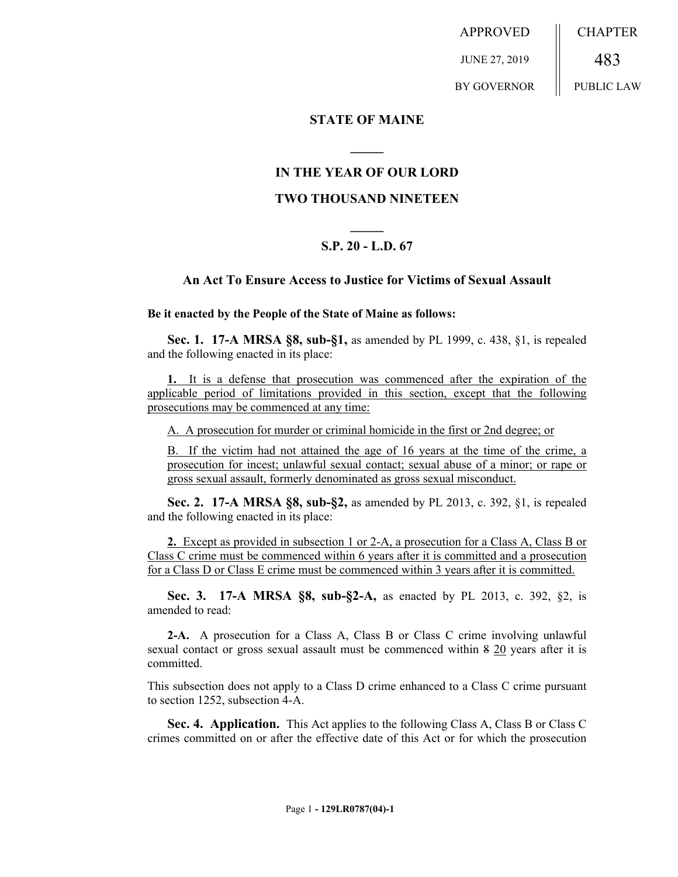APPROVED JUNE 27, 2019 BY GOVERNOR CHAPTER 483 PUBLIC LAW

#### **STATE OF MAINE**

## **IN THE YEAR OF OUR LORD**

**\_\_\_\_\_**

## **TWO THOUSAND NINETEEN**

# **\_\_\_\_\_ S.P. 20 - L.D. 67**

#### **An Act To Ensure Access to Justice for Victims of Sexual Assault**

**Be it enacted by the People of the State of Maine as follows:**

**Sec. 1. 17-A MRSA §8, sub-§1,** as amended by PL 1999, c. 438, §1, is repealed and the following enacted in its place:

**1.** It is a defense that prosecution was commenced after the expiration of the applicable period of limitations provided in this section, except that the following prosecutions may be commenced at any time:

A. A prosecution for murder or criminal homicide in the first or 2nd degree; or

B. If the victim had not attained the age of 16 years at the time of the crime, a prosecution for incest; unlawful sexual contact; sexual abuse of a minor; or rape or gross sexual assault, formerly denominated as gross sexual misconduct.

**Sec. 2. 17-A MRSA §8, sub-§2,** as amended by PL 2013, c. 392, §1, is repealed and the following enacted in its place:

**2.** Except as provided in subsection 1 or 2-A, a prosecution for a Class A, Class B or Class C crime must be commenced within 6 years after it is committed and a prosecution for a Class D or Class E crime must be commenced within 3 years after it is committed.

**Sec. 3. 17-A MRSA §8, sub-§2-A,** as enacted by PL 2013, c. 392, §2, is amended to read:

**2-A.** A prosecution for a Class A, Class B or Class C crime involving unlawful sexual contact or gross sexual assault must be commenced within 8 20 years after it is committed.

This subsection does not apply to a Class D crime enhanced to a Class C crime pursuant to section 1252, subsection 4-A.

**Sec. 4. Application.** This Act applies to the following Class A, Class B or Class C crimes committed on or after the effective date of this Act or for which the prosecution